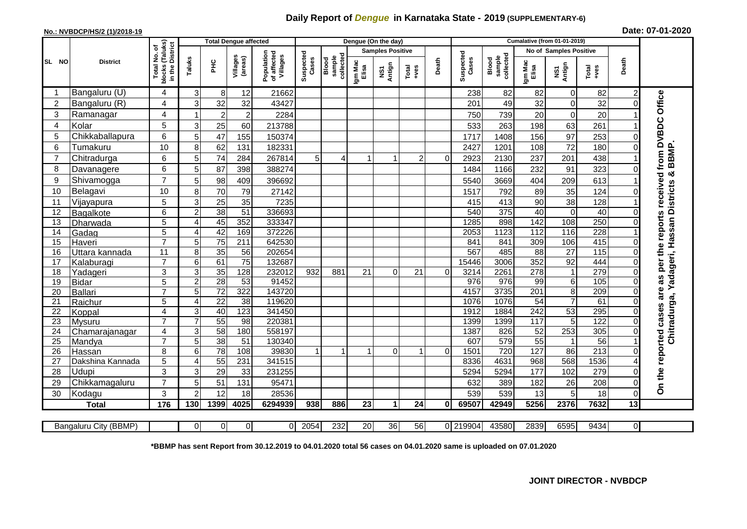## **Daily Report of** *Dengue* **in Karnataka State - 2019 (SUPPLEMENTARY-6)**

## **No.: NVBDCP/HS/2 (1)/2018-19 Date: 07-01-2020**

|                 | <b>District</b>            |                                        | <b>Total Dengue affected</b> |                         |                     |                                       |                    |                              |                         | Dengue (On the day)  |                         |          |                    |                              |                        |                 |                  |                         |                                                            |
|-----------------|----------------------------|----------------------------------------|------------------------------|-------------------------|---------------------|---------------------------------------|--------------------|------------------------------|-------------------------|----------------------|-------------------------|----------|--------------------|------------------------------|------------------------|-----------------|------------------|-------------------------|------------------------------------------------------------|
|                 |                            | (Taluks)<br>৳                          |                              |                         |                     |                                       | Suspected<br>Cases | collected<br>sample<br>Blood | <b>Samples Positive</b> |                      |                         |          |                    |                              | No of Samples Positive |                 |                  |                         |                                                            |
| SL NO           |                            | in the District<br>Total No.<br>blocks | Taluks                       | ΞÉ                      | Villages<br>(areas) | Population<br>of affected<br>Villages |                    |                              | Igm Mac<br>Elisa        | Antign<br>Σñ         | Total<br>$-ves$         | Death    | Suspected<br>Cases | Blood<br>sample<br>collected | Igm Mac<br>Elisa       | NS1<br>Antign   | Total<br>+ves    | Death                   |                                                            |
|                 | Bangaluru (U)              | 4                                      | 3                            | 8                       | 12                  | 21662                                 |                    |                              |                         |                      |                         |          | 238                | 82                           | 82                     | 0               | 82               | $\overline{\mathbf{c}}$ |                                                            |
| $\overline{2}$  | Bangaluru (R)              | $\overline{\mathbf{4}}$                | 3                            | 32                      | 32                  | 43427                                 |                    |                              |                         |                      |                         |          | 201                | 49                           | 32                     | 0               | 32               |                         | Office                                                     |
| 3               | Ramanagar                  | $\overline{\mathbf{4}}$                |                              | $\overline{\mathbf{c}}$ | $\overline{2}$      | 2284                                  |                    |                              |                         |                      |                         |          | 750                | 739                          | 20                     | 0               | $\overline{20}$  |                         |                                                            |
| 4               | Kolar                      | 5                                      | 3                            | 25                      | 60                  | 213788                                |                    |                              |                         |                      |                         |          | 533                | 263                          | 198                    | 63              | 261              |                         |                                                            |
| 5               | Chikkaballapura            | 6                                      | 5                            | 47                      | 155                 | 150374                                |                    |                              |                         |                      |                         |          | 1717               | 1408                         | 156                    | 97              | 253              |                         | <b>DVBDC</b>                                               |
| 6               | Tumakuru                   | 10                                     | 8                            | 62                      | 131                 | 182331                                |                    |                              |                         |                      |                         |          | 2427               | 1201                         | 108                    | 72              | 180              |                         |                                                            |
|                 | Chitradurga                | 6                                      | 5                            | 74                      | 284                 | 267814                                | 5                  | 4                            | 1                       | 1                    | $\overline{\mathbf{c}}$ | $\Omega$ | 2923               | 2130                         | 237                    | 201             | 438              |                         | from                                                       |
| 8               | Davanagere                 | 6                                      | 5                            | 87                      | 398                 | 388274                                |                    |                              |                         |                      |                         |          | 1484               | 1166                         | 232                    | 91              | 323              |                         |                                                            |
| 9               | Shivamogga                 | $\overline{7}$                         | 5                            | 98                      | 409                 | 396692                                |                    |                              |                         |                      |                         |          | 5540               | 3669                         | 404                    | 209             | 613              |                         | Chitradurga, Yadageri, Hassan Districts & BBMP<br>received |
| 10              | Belagavi                   | 10                                     | 8                            | 70                      | 79                  | 27142                                 |                    |                              |                         |                      |                         |          | 1517               | 792                          | 89                     | 35              | 124              |                         |                                                            |
| 11              | Vijayapura                 | 5                                      | 3                            | 25                      | 35                  | 7235                                  |                    |                              |                         |                      |                         |          | 415                | 413                          | 90                     | 38              | 128              |                         |                                                            |
| 12              | Bagalkote                  | 6                                      | 2                            | 38                      | 51                  | 336693                                |                    |                              |                         |                      |                         |          | 540                | 375                          | 40                     | $\Omega$        | 40               |                         |                                                            |
| 13              | Dharwada                   | $\overline{5}$                         | Δ                            | 45                      | 352                 | 333347                                |                    |                              |                         |                      |                         |          | 1285               | 898                          | $\overline{142}$       | 108             | 250              |                         | reports                                                    |
| 14              | Gadag                      | $\overline{5}$                         | Δ                            | 42                      | 169                 | 372226                                |                    |                              |                         |                      |                         |          | 2053               | 1123                         | 112                    | 116             | 228              |                         |                                                            |
| 15              | Haveri                     | $\overline{7}$                         | 5                            | $\overline{75}$         | 211                 | 642530                                |                    |                              |                         |                      |                         |          | 841                | 841                          | 309                    | 106             | $\overline{415}$ |                         |                                                            |
| 16              | Uttara kannada             | 11                                     | 8                            | 35                      | 56                  | 202654                                |                    |                              |                         |                      |                         |          | 567                | 485                          | $\overline{88}$        | $\overline{27}$ | 115              |                         | per the                                                    |
| 17              | Kalaburagi                 | $\overline{7}$                         | 6                            | 61                      | 75                  | 132687                                |                    |                              |                         |                      |                         |          | 15446              | 3006                         | 352                    | 92              | 444              |                         |                                                            |
| 18              | Yadageri                   | $\overline{3}$                         | 3                            | 35                      | 128                 | 232012                                | 932                | 881                          | $\overline{21}$         | 0                    | 21                      | $\Omega$ | 3214               | 2261                         | $\overline{278}$       |                 | 279              |                         | w                                                          |
| 19              | <b>Bidar</b>               | $\overline{5}$                         | $\overline{2}$               | $\overline{28}$         | $\overline{53}$     | 91452                                 |                    |                              |                         |                      |                         |          | 976                | 976                          | 99                     | 6               | 105              |                         | ä                                                          |
| 20              | <b>Ballari</b>             | $\overline{7}$                         | 5                            | 72                      | 322                 | 143720                                |                    |                              |                         |                      |                         |          | 4157               | 3735                         | 201                    | 8               | 209              |                         | are                                                        |
| 21              | Raichur                    | 5                                      | Δ                            | 22                      | $\overline{38}$     | 119620                                |                    |                              |                         |                      |                         |          | 1076               | 1076                         | 54                     | 7               | 61               |                         |                                                            |
| 22              | Koppal                     | $\overline{\mathbf{4}}$                | 3                            | 40                      | $\overline{123}$    | 341450                                |                    |                              |                         |                      |                         |          | 1912               | 1884                         | 242                    | 53              | 295              |                         | cases                                                      |
| $\overline{23}$ | Mysuru                     | $\overline{7}$                         | $\overline{7}$               | 55                      | $\overline{98}$     | 220381                                |                    |                              |                         |                      |                         |          | 1399               | 1399                         | 117                    | 5               | 122              |                         |                                                            |
| 24              | Chamarajanagar             | $\overline{\mathbf{4}}$                | 3                            | 58                      | 180                 | 558197                                |                    |                              |                         |                      |                         |          | 1387               | 826                          | 52                     | 253             | 305              |                         |                                                            |
| 25              | Mandya                     | $\overline{7}$                         | 5                            | $\overline{38}$<br>78   | 51<br>108           | 130340<br>39830                       |                    | 1                            | 1                       |                      |                         | $\Omega$ | 607                | 579<br>720                   | 55<br>127              |                 | 56<br>213        |                         |                                                            |
| 26<br>27        | Hassan<br>Dakshina Kannada | 8<br>$\overline{5}$                    | 6<br>4                       | 55                      | 231                 | 341515                                | 1                  |                              |                         | 0                    | 1                       |          | 1501<br>8336       | 4631                         | 968                    | 86<br>568       | 1536             |                         |                                                            |
| 28              |                            | 3                                      |                              |                         |                     |                                       |                    |                              |                         |                      |                         |          |                    |                              |                        |                 |                  |                         |                                                            |
| 29              | Udupi                      | $\overline{7}$                         | 3                            | 29                      | 33                  | 231255                                |                    |                              |                         |                      |                         |          | 5294               | 5294                         | 177                    | 102             | 279              |                         | the reported                                               |
|                 | Chikkamagaluru             | 3                                      | 5                            | 51<br>12                | 131<br>18           | 95471                                 |                    |                              |                         |                      |                         |          | 632<br>539         | 389                          | 182<br>13              | 26<br>5         | 208              | $\Omega$                | င်္                                                        |
| 30              | Kodagu                     |                                        | $\overline{2}$               |                         |                     | 28536                                 |                    |                              |                         |                      |                         |          |                    | 539                          |                        |                 | 18               | 13                      |                                                            |
|                 | <b>Total</b>               | 176                                    | 130                          | 1399                    | 4025                | 6294939                               | 938                | 886                          | 23                      | $\blacktriangleleft$ | 24                      | $\bf{0}$ | 69507              | 42949                        | 5256                   | 2376            | 7632             |                         |                                                            |
|                 | Bangaluru City (BBMP)      |                                        | 0                            | 0                       | $\overline{0}$      | $\overline{0}$                        | 2054               | 232                          | 20                      | 36                   | 56                      |          | 0 219904           | 43580                        | 2839                   | 6595            | 9434             | $\overline{0}$          |                                                            |

**\*BBMP has sent Report from 30.12.2019 to 04.01.2020 total 56 cases on 04.01.2020 same is uploaded on 07.01.2020**